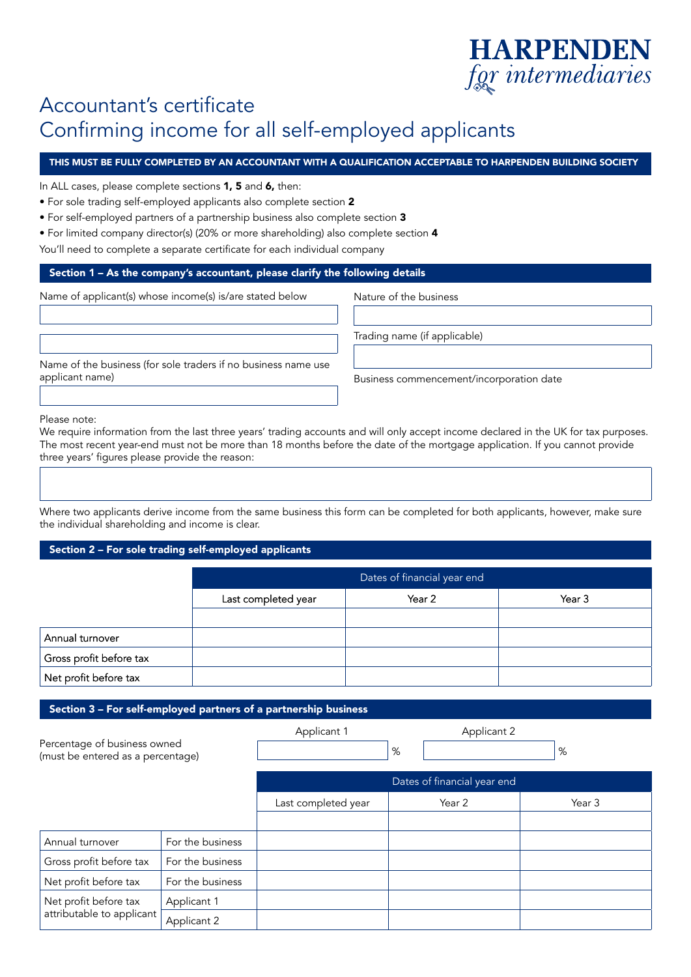# **HARPENDEN** for intermediaries

## Accountant's certificate Confirming income for all self-employed applicants

### THIS MUST BE FULLY COMPLETED BY AN ACCOUNTANT WITH A QUALIFICATION ACCEPTABLE TO HARPENDEN BUILDING SOCIETY

In ALL cases, please complete sections 1, 5 and 6, then:

- For sole trading self-employed applicants also complete section 2
- For self-employed partners of a partnership business also complete section 3
- For limited company director(s) (20% or more shareholding) also complete section 4
- You'll need to complete a separate certificate for each individual company

#### Section 1 – As the company's accountant, please clarify the following details

Name of applicant(s) whose income(s) is/are stated below

Nature of the business

Trading name (if applicable)

Name of the business (for sole traders if no business name use applicant name)

Business commencement/incorporation date

Please note:

We require information from the last three years' trading accounts and will only accept income declared in the UK for tax purposes. The most recent year-end must not be more than 18 months before the date of the mortgage application. If you cannot provide three years' figures please provide the reason:

Where two applicants derive income from the same business this form can be completed for both applicants, however, make sure the individual shareholding and income is clear.

#### Section 2 – For sole trading self-employed applicants

|                         | Dates of financial year end             |  |  |  |  |
|-------------------------|-----------------------------------------|--|--|--|--|
|                         | Last completed year<br>Year 2<br>Year 3 |  |  |  |  |
|                         |                                         |  |  |  |  |
| Annual turnover         |                                         |  |  |  |  |
| Gross profit before tax |                                         |  |  |  |  |
| Net profit before tax   |                                         |  |  |  |  |

#### Section 3 – For self-employed partners of a partnership business

Percentage of business owned (must be entered as a percentage) Applicant 1

Applicant 2

%

|                                                    |                  | Dates of financial year end |        |        |
|----------------------------------------------------|------------------|-----------------------------|--------|--------|
|                                                    |                  | Last completed year         | Year 2 | Year 3 |
|                                                    |                  |                             |        |        |
| Annual turnover                                    | For the business |                             |        |        |
| Gross profit before tax                            | For the business |                             |        |        |
| Net profit before tax                              | For the business |                             |        |        |
| Net profit before tax<br>attributable to applicant | Applicant 1      |                             |        |        |
|                                                    | Applicant 2      |                             |        |        |

%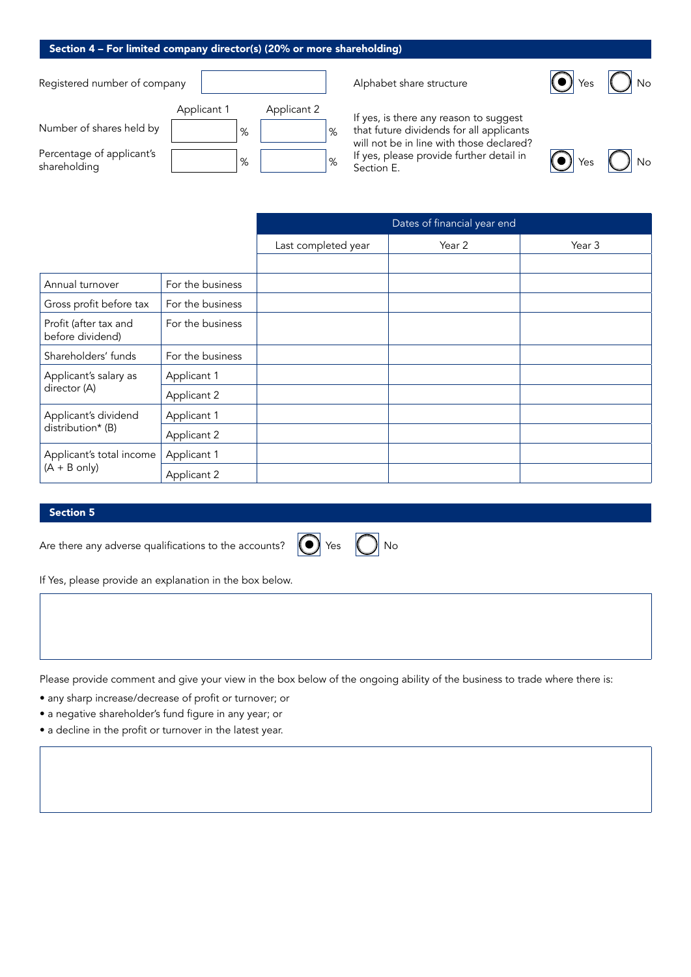#### Section 4 – For limited company director(s) (20% or more shareholding)

Registered number of company

|                                           | Applicant 1 |   | Applicant 2 |   |
|-------------------------------------------|-------------|---|-------------|---|
| Number of shares held by                  |             | % |             | % |
| Percentage of applicant's<br>shareholding |             | % |             | % |

Alphabet share structure

If yes, is there any reason to suggest that future dividends for all applicants will not be in line with those declared? If yes, please provide further detail in Section E.



O Yes O No

|                                             |                  | Dates of financial year end |        |        |
|---------------------------------------------|------------------|-----------------------------|--------|--------|
|                                             |                  | Last completed year         | Year 2 | Year 3 |
|                                             |                  |                             |        |        |
| Annual turnover                             | For the business |                             |        |        |
| Gross profit before tax                     | For the business |                             |        |        |
| Profit (after tax and<br>before dividend)   | For the business |                             |        |        |
| Shareholders' funds                         | For the business |                             |        |        |
| Applicant's salary as<br>director (A)       | Applicant 1      |                             |        |        |
|                                             | Applicant 2      |                             |        |        |
| Applicant's dividend<br>distribution* (B)   | Applicant 1      |                             |        |        |
|                                             | Applicant 2      |                             |        |        |
| Applicant's total income<br>$(A + B)$ only) | Applicant 1      |                             |        |        |
|                                             | Applicant 2      |                             |        |        |

#### Section 5



If Yes, please provide an explanation in the box below.

Please provide comment and give your view in the box below of the ongoing ability of the business to trade where there is:

• any sharp increase/decrease of profit or turnover; or

• a negative shareholder's fund figure in any year; or

• a decline in the profit or turnover in the latest year.